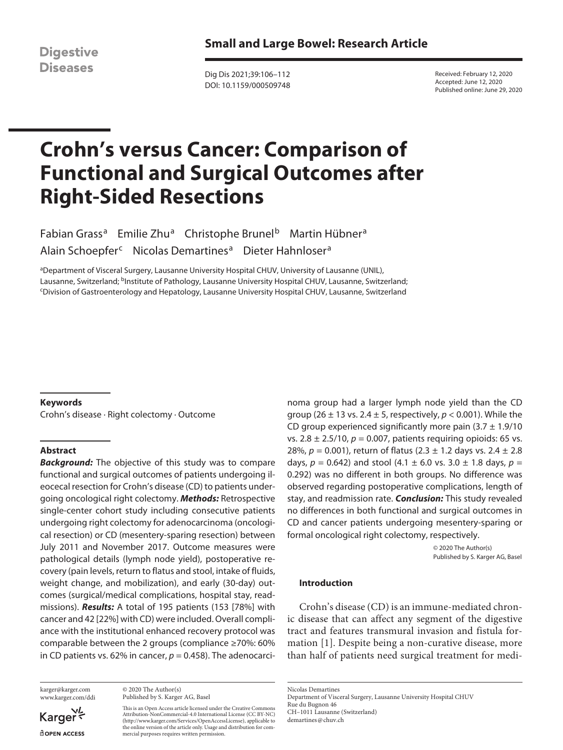**Digestive Diseases** 

Dig Dis 2021;39:106–112 DOI: 10.1159/000509748 Received: February 12, 2020 Accepted: June 12, 2020 Published online: June 29, 2020

# **Crohn's versus Cancer: Comparison of Functional and Surgical Outcomes after Right-Sided Resections**

Fabian Grass<sup>a</sup> Emilie Zhu<sup>a</sup> Christophe Brunel<sup>b</sup> Martin Hübner<sup>a</sup> Alain Schoepfer<sup>c</sup> Nicolas Demartines<sup>a</sup> Dieter Hahnloser<sup>a</sup>

aDepartment of Visceral Surgery, Lausanne University Hospital CHUV, University of Lausanne (UNIL), Lausanne, Switzerland; <sup>b</sup>Institute of Pathology, Lausanne University Hospital CHUV, Lausanne, Switzerland; Division of Gastroenterology and Hepatology, Lausanne University Hospital CHUV, Lausanne, Switzerland

# **Keywords**

Crohn's disease · Right colectomy · Outcome

# **Abstract**

*Background:* The objective of this study was to compare functional and surgical outcomes of patients undergoing ileocecal resection for Crohn's disease (CD) to patients undergoing oncological right colectomy. *Methods:* Retrospective single-center cohort study including consecutive patients undergoing right colectomy for adenocarcinoma (oncological resection) or CD (mesentery-sparing resection) between July 2011 and November 2017. Outcome measures were pathological details (lymph node yield), postoperative recovery (pain levels, return to flatus and stool, intake of fluids, weight change, and mobilization), and early (30-day) outcomes (surgical/medical complications, hospital stay, readmissions). *Results:* A total of 195 patients (153 [78%] with cancer and 42 [22%] with CD) were included. Overall compliance with the institutional enhanced recovery protocol was comparable between the 2 groups (compliance ≥70%: 60% in CD patients vs. 62% in cancer,  $p = 0.458$ ). The adenocarci-

karger@karger.com www.karger.com/ddi

Karger **ROPEN ACCESS** 

© 2020 The Author(s) Published by S. Karger AG, Basel

This is an Open Access article licensed under the Creative Commons Attribution-NonCommercial-4.0 International License (CC BY-NC) (http://www.karger.com/Services/OpenAccessLicense), applicable to the online version of the article only. Usage and distribution for commercial purposes requires written permission.

noma group had a larger lymph node yield than the CD group (26 ± 13 vs. 2.4 ± 5, respectively, *p* < 0.001). While the CD group experienced significantly more pain  $(3.7 \pm 1.9/10)$ vs. 2.8 ± 2.5/10, *p* = 0.007, patients requiring opioids: 65 vs. 28%, *p* = 0.001), return of flatus (2.3 ± 1.2 days vs. 2.4 ± 2.8 days,  $p = 0.642$ ) and stool (4.1  $\pm$  6.0 vs. 3.0  $\pm$  1.8 days,  $p =$ 0.292) was no different in both groups. No difference was observed regarding postoperative complications, length of stay, and readmission rate. *Conclusion:* This study revealed no differences in both functional and surgical outcomes in CD and cancer patients undergoing mesentery-sparing or formal oncological right colectomy, respectively.

> © 2020 The Author(s) Published by S. Karger AG, Basel

# **Introduction**

<span id="page-0-0"></span>Crohn's disease (CD) is an immune-mediated chronic disease that can affect any segment of the digestive tract and features transmural invasion and fistula formation [\[1\]](#page-6-0). Despite being a non-curative disease, more than half of patients need surgical treatment for medi-

Nicolas Demartines Department of Visceral Surgery, Lausanne University Hospital CHUV Rue du Bugnon 46 CH–1011 Lausanne (Switzerland) demartines@chuv.ch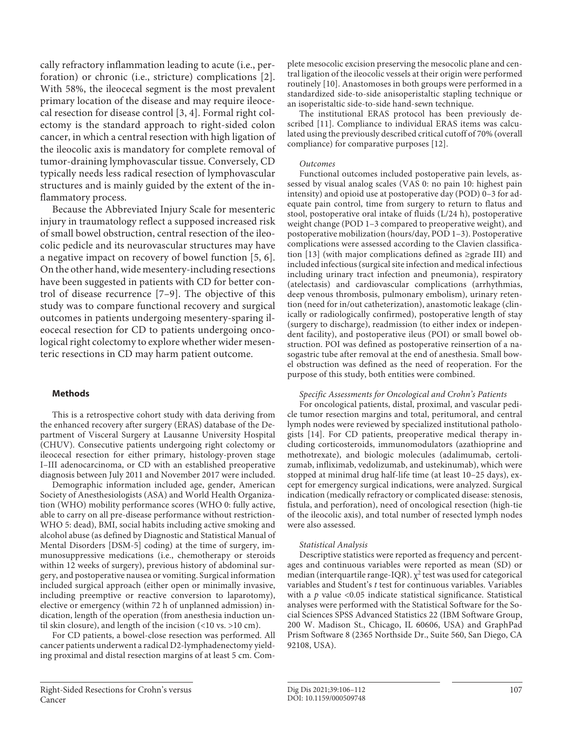<span id="page-1-1"></span><span id="page-1-0"></span>cally refractory inflammation leading to acute (i.e., perforation) or chronic (i.e., stricture) complications [\[2\]](#page-6-1). With 58%, the ileocecal segment is the most prevalent primary location of the disease and may require ileocecal resection for disease control [[3](#page-6-2), [4\]](#page-6-3). Formal right colectomy is the standard approach to right-sided colon cancer, in which a central resection with high ligation of the ileocolic axis is mandatory for complete removal of tumor-draining lymphovascular tissue. Conversely, CD typically needs less radical resection of lymphovascular structures and is mainly guided by the extent of the inflammatory process.

<span id="page-1-3"></span><span id="page-1-2"></span>Because the Abbreviated Injury Scale for mesenteric injury in traumatology reflect a supposed increased risk of small bowel obstruction, central resection of the ileocolic pedicle and its neurovascular structures may have a negative impact on recovery of bowel function [[5,](#page-6-4) [6\]](#page-6-5). On the other hand, wide mesentery-including resections have been suggested in patients with CD for better control of disease recurrence [\[7–](#page-6-6)[9\]](#page-6-7). The objective of this study was to compare functional recovery and surgical outcomes in patients undergoing mesentery-sparing ileocecal resection for CD to patients undergoing oncological right colectomy to explore whether wider mesenteric resections in CD may harm patient outcome.

# **Methods**

This is a retrospective cohort study with data deriving from the enhanced recovery after surgery (ERAS) database of the Department of Visceral Surgery at Lausanne University Hospital (CHUV). Consecutive patients undergoing right colectomy or ileocecal resection for either primary, histology-proven stage I–III adenocarcinoma, or CD with an established preoperative diagnosis between July 2011 and November 2017 were included.

Demographic information included age, gender, American Society of Anesthesiologists (ASA) and World Health Organization (WHO) mobility performance scores (WHO 0: fully active, able to carry on all pre-disease performance without restriction-WHO 5: dead), BMI, social habits including active smoking and alcohol abuse (as defined by Diagnostic and Statistical Manual of Mental Disorders [DSM-5] coding) at the time of surgery, immunosuppressive medications (i.e., chemotherapy or steroids within 12 weeks of surgery), previous history of abdominal surgery, and postoperative nausea or vomiting. Surgical information included surgical approach (either open or minimally invasive, including preemptive or reactive conversion to laparotomy), elective or emergency (within 72 h of unplanned admission) indication, length of the operation (from anesthesia induction until skin closure), and length of the incision (<10 vs. >10 cm).

For CD patients, a bowel-close resection was performed. All cancer patients underwent a radical D2-lymphadenectomy yielding proximal and distal resection margins of at least 5 cm. Com<span id="page-1-4"></span>plete mesocolic excision preserving the mesocolic plane and central ligation of the ileocolic vessels at their origin were performed routinely [[10](#page-6-0)]. Anastomoses in both groups were performed in a standardized side-to-side anisoperistaltic stapling technique or an isoperistaltic side-to-side hand-sewn technique.

<span id="page-1-5"></span>The institutional ERAS protocol has been previously described [[11\]](#page-6-0). Compliance to individual ERAS items was calculated using the previously described critical cutoff of 70% (overall compliance) for comparative purposes [\[1](#page-6-0)[2\]](#page-6-1).

# <span id="page-1-6"></span>*Outcomes*

<span id="page-1-7"></span>Functional outcomes included postoperative pain levels, assessed by visual analog scales (VAS 0: no pain 10: highest pain intensity) and opioid use at postoperative day (POD) 0–3 for adequate pain control, time from surgery to return to flatus and stool, postoperative oral intake of fluids (L/24 h), postoperative weight change (POD 1–3 compared to preoperative weight), and postoperative mobilization (hours/day, POD 1–3). Postoperative complications were assessed according to the Clavien classification [\[1](#page-6-0)[3](#page-6-2)] (with major complications defined as ≥grade III) and included infectious (surgical site infection and medical infectious including urinary tract infection and pneumonia), respiratory (atelectasis) and cardiovascular complications (arrhythmias, deep venous thrombosis, pulmonary embolism), urinary retention (need for in/out catheterization), anastomotic leakage (clinically or radiologically confirmed), postoperative length of stay (surgery to discharge), readmission (to either index or independent facility), and postoperative ileus (POI) or small bowel obstruction. POI was defined as postoperative reinsertion of a nasogastric tube after removal at the end of anesthesia. Small bowel obstruction was defined as the need of reoperation. For the purpose of this study, both entities were combined.

# *Specific Assessments for Oncological and Crohn's Patients*

<span id="page-1-8"></span>For oncological patients, distal, proximal, and vascular pedicle tumor resection margins and total, peritumoral, and central lymph nodes were reviewed by specialized institutional pathologists [[1](#page-6-0)[4\]](#page-6-3). For CD patients, preoperative medical therapy including corticosteroids, immunomodulators (azathioprine and methotrexate), and biologic molecules (adalimumab, certolizumab, infliximab, vedolizumab, and ustekinumab), which were stopped at minimal drug half-life time (at least 10–25 days), except for emergency surgical indications, were analyzed. Surgical indication (medically refractory or complicated disease: stenosis, fistula, and perforation), need of oncological resection (high-tie of the ileocolic axis), and total number of resected lymph nodes were also assessed.

#### *Statistical Analysis*

Descriptive statistics were reported as frequency and percentages and continuous variables were reported as mean (SD) or median (interquartile range-IQR).  $\chi^2$  test was used for categorical variables and Student's *t* test for continuous variables. Variables with a *p* value <0.05 indicate statistical significance. Statistical analyses were performed with the Statistical Software for the Social Sciences SPSS Advanced Statistics 22 (IBM Software Group, 200 W. Madison St., Chicago, IL 60606, USA) and GraphPad Prism Software 8 (2365 Northside Dr., Suite 560, San Diego, CA 92108, USA).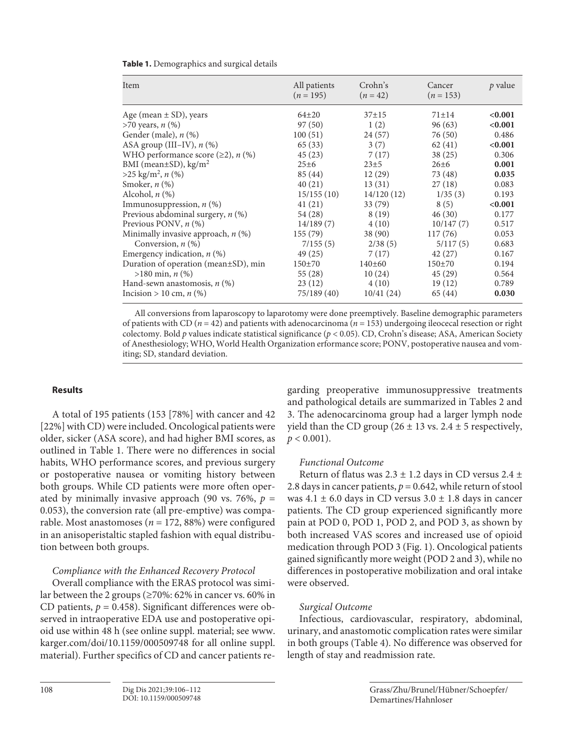| Item                                        | All patients<br>$(n = 195)$ | Crohn's<br>$(n = 42)$ | Cancer<br>$(n = 153)$ | p value |
|---------------------------------------------|-----------------------------|-----------------------|-----------------------|---------|
| Age (mean $\pm$ SD), years                  | $64+20$                     | $37 + 15$             | $71 \pm 14$           | < 0.001 |
| $>70$ years, n $(\%)$                       | 97 (50)                     | 1(2)                  | 96(63)                | < 0.001 |
| Gender (male), n (%)                        | 100(51)                     | 24(57)                | 76 (50)               | 0.486   |
| ASA group (III–IV), $n$ (%)                 | 65(33)                      | 3(7)                  | 62(41)                | < 0.001 |
| WHO performance score $(\geq 2)$ , n $(\%)$ | 45(23)                      | 7(17)                 | 38(25)                | 0.306   |
| BMI (mean $\pm$ SD), kg/m <sup>2</sup>      | $25\pm 6$                   | $23+5$                | $26 \pm 6$            | 0.001   |
| $>25 \text{ kg/m}^2$ , n (%)                | 85 (44)                     | 12(29)                | 73 (48)               | 0.035   |
| Smoker, $n$ $(\%)$                          | 40(21)                      | 13(31)                | 27(18)                | 0.083   |
| Alcohol, $n$ $(\%)$                         | 15/155(10)                  | 14/120(12)            | 1/35(3)               | 0.193   |
| Immunosuppression, $n$ (%)                  | 41(21)                      | 33(79)                | 8(5)                  | < 0.001 |
| Previous abdominal surgery, $n$ (%)         | 54 (28)                     | 8(19)                 | 46(30)                | 0.177   |
| Previous PONV, $n$ (%)                      | 14/189(7)                   | 4(10)                 | 10/147(7)             | 0.517   |
| Minimally invasive approach, $n$ (%)        | 155(79)                     | 38(90)                | 117(76)               | 0.053   |
| Conversion, $n$ $(\%)$                      | 7/155(5)                    | 2/38(5)               | 5/117(5)              | 0.683   |
| Emergency indication, $n$ (%)               | 49(25)                      | 7(17)                 | 42(27)                | 0.167   |
| Duration of operation (mean±SD), min        | $150+70$                    | 140±60                | $150+70$              | 0.194   |
| $>180 \text{ min}, n$ (%)                   | 55 (28)                     | 10(24)                | 45(29)                | 0.564   |
| Hand-sewn anastomosis, $n$ (%)              | 23(12)                      | 4(10)                 | 19(12)                | 0.789   |
| Incision > 10 cm, $n$ (%)                   | 75/189 (40)                 | 10/41(24)             | 65 (44)               | 0.030   |

# **Table 1.** Demographics and surgical details

All conversions from laparoscopy to laparotomy were done preemptively. Baseline demographic parameters of patients with CD (*n* = 42) and patients with adenocarcinoma (*n* = 153) undergoing ileocecal resection or right colectomy. Bold *p* values indicate statistical significance (*p* < 0.05). CD, Crohn's disease; ASA, American Society of Anesthesiology; WHO, World Health Organization erformance score; PONV, postoperative nausea and vomiting; SD, standard deviation.

# **Results**

A total of 195 patients (153 [78%] with cancer and 42 [22%] with CD) were included. Oncological patients were older, sicker (ASA score), and had higher BMI scores, as outlined in Table 1. There were no differences in social habits, WHO performance scores, and previous surgery or postoperative nausea or vomiting history between both groups. While CD patients were more often operated by minimally invasive approach (90 vs. 76%,  $p =$ 0.053), the conversion rate (all pre-emptive) was comparable. Most anastomoses ( $n = 172, 88\%$ ) were configured in an anisoperistaltic stapled fashion with equal distribution between both groups.

# *Compliance with the Enhanced Recovery Protocol*

Overall compliance with the ERAS protocol was similar between the 2 groups (≥70%: 62% in cancer vs. 60% in CD patients,  $p = 0.458$ ). Significant differences were observed in intraoperative EDA use and postoperative opioid use within 48 h (see online suppl. material; see www. karger.com/doi/10.1159/000509748 for all online suppl. material). Further specifics of CD and cancer patients re-

garding preoperative immunosuppressive treatments and pathological details are summarized in Tables 2 and 3. The adenocarcinoma group had a larger lymph node yield than the CD group ( $26 \pm 13$  vs.  $2.4 \pm 5$  respectively,  $p < 0.001$ ).

# *Functional Outcome*

Return of flatus was 2.3  $\pm$  1.2 days in CD versus 2.4  $\pm$ 2.8 days in cancer patients,  $p = 0.642$ , while return of stool was  $4.1 \pm 6.0$  days in CD versus  $3.0 \pm 1.8$  days in cancer patients. The CD group experienced significantly more pain at POD 0, POD 1, POD 2, and POD 3, as shown by both increased VAS scores and increased use of opioid medication through POD 3 (Fig. 1). Oncological patients gained significantly more weight (POD 2 and 3), while no differences in postoperative mobilization and oral intake were observed.

# *Surgical Outcome*

Infectious, cardiovascular, respiratory, abdominal, urinary, and anastomotic complication rates were similar in both groups (Table 4). No difference was observed for length of stay and readmission rate.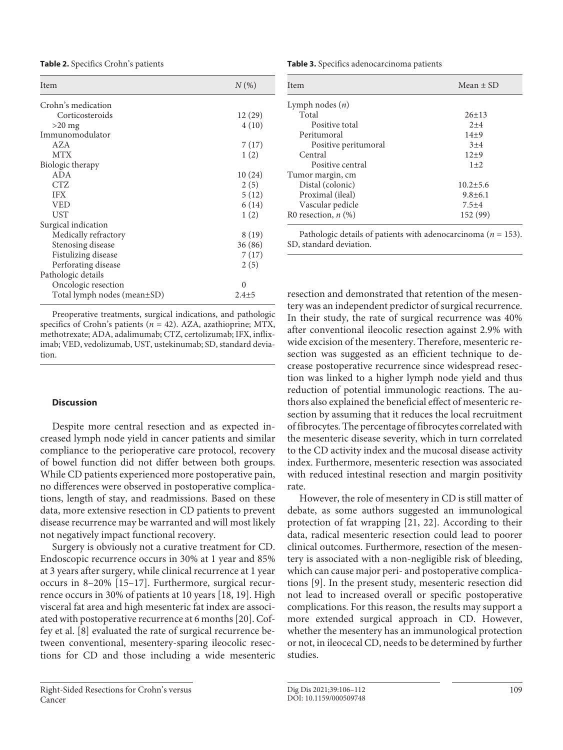**Table 2.** Specifics Crohn's patients

| Item                        | $N(\%)$   |  |
|-----------------------------|-----------|--|
| Crohn's medication          |           |  |
| Corticosteroids             | 12(29)    |  |
| $>20$ mg                    | 4(10)     |  |
| Immunomodulator             |           |  |
| <b>AZA</b>                  | 7(17)     |  |
| <b>MTX</b>                  | 1(2)      |  |
| Biologic therapy            |           |  |
| ADA                         | 10(24)    |  |
| CTZ                         | 2(5)      |  |
| <b>IFX</b>                  | 5(12)     |  |
| <b>VED</b>                  | 6 (14)    |  |
| UST                         | 1(2)      |  |
| Surgical indication         |           |  |
| Medically refractory        | 8 (19)    |  |
| Stenosing disease           | 36 (86)   |  |
| Fistulizing disease         | 7(17)     |  |
| Perforating disease         | 2(5)      |  |
| Pathologic details          |           |  |
| Oncologic resection         | $\Omega$  |  |
| Total lymph nodes (mean±SD) | $2.4 + 5$ |  |

Preoperative treatments, surgical indications, and pathologic specifics of Crohn's patients (*n* = 42). AZA, azathioprine; MTX, methotrexate; ADA, adalimumab; CTZ, certolizumab; IFX, infliximab; VED, vedolizumab, UST, ustekinumab; SD, standard deviation.

# **Discussion**

Despite more central resection and as expected increased lymph node yield in cancer patients and similar compliance to the perioperative care protocol, recovery of bowel function did not differ between both groups. While CD patients experienced more postoperative pain, no differences were observed in postoperative complications, length of stay, and readmissions. Based on these data, more extensive resection in CD patients to prevent disease recurrence may be warranted and will most likely not negatively impact functional recovery.

<span id="page-3-2"></span><span id="page-3-1"></span><span id="page-3-0"></span>Surgery is obviously not a curative treatment for CD. Endoscopic recurrence occurs in 30% at 1 year and 85% at 3 years after surgery, while clinical recurrence at 1 year occurs in 8–20% [\[1](#page-6-0)[5](#page-6-4)–[1](#page-6-0)[7](#page-6-6)]. Furthermore, surgical recurrence occurs in 30% of patients at 10 years [\[1](#page-6-0)[8,](#page-6-8) [1](#page-6-0)[9](#page-6-7)]. High visceral fat area and high mesenteric fat index are associated with postoperative recurrence at 6 months [\[20](#page-6-1)]. Coffey et al. [[8\]](#page-6-8) evaluated the rate of surgical recurrence between conventional, mesentery-sparing ileocolic resections for CD and those including a wide mesenteric **Table 3.** Specifics adenocarcinoma patients

| Item                  | Mean $\pm$ SD  |  |
|-----------------------|----------------|--|
| Lymph nodes $(n)$     |                |  |
| Total                 | $26 \pm 13$    |  |
| Positive total        | $2+4$          |  |
| Peritumoral           | $14+9$         |  |
| Positive peritumoral  | $3+4$          |  |
| Central               | $12+9$         |  |
| Positive central      | $1 + 2$        |  |
| Tumor margin, cm      |                |  |
| Distal (colonic)      | $10.2 \pm 5.6$ |  |
| Proximal (ileal)      | $9.8 \pm 6.1$  |  |
| Vascular pedicle      | $7.5 + 4$      |  |
| R0 resection, $n$ (%) | 152 (99)       |  |

Pathologic details of patients with adenocarcinoma (*n* = 153). SD, standard deviation.

resection and demonstrated that retention of the mesentery was an independent predictor of surgical recurrence. In their study, the rate of surgical recurrence was 40% after conventional ileocolic resection against 2.9% with wide excision of the mesentery. Therefore, mesenteric resection was suggested as an efficient technique to decrease postoperative recurrence since widespread resection was linked to a higher lymph node yield and thus reduction of potential immunologic reactions. The authors also explained the beneficial effect of mesenteric resection by assuming that it reduces the local recruitment of fibrocytes. The percentage of fibrocytes correlated with the mesenteric disease severity, which in turn correlated to the CD activity index and the mucosal disease activity index. Furthermore, mesenteric resection was associated with reduced intestinal resection and margin positivity rate.

However, the role of mesentery in CD is still matter of debate, as some authors suggested an immunological protection of fat wrapping [\[2](#page-6-1)[1,](#page-6-0) [22\]](#page-6-1). According to their data, radical mesenteric resection could lead to poorer clinical outcomes. Furthermore, resection of the mesentery is associated with a non-negligible risk of bleeding, which can cause major peri- and postoperative complications [[9](#page-6-7)]. In the present study, mesenteric resection did not lead to increased overall or specific postoperative complications. For this reason, the results may support a more extended surgical approach in CD. However, whether the mesentery has an immunological protection or not, in ileocecal CD, needs to be determined by further studies.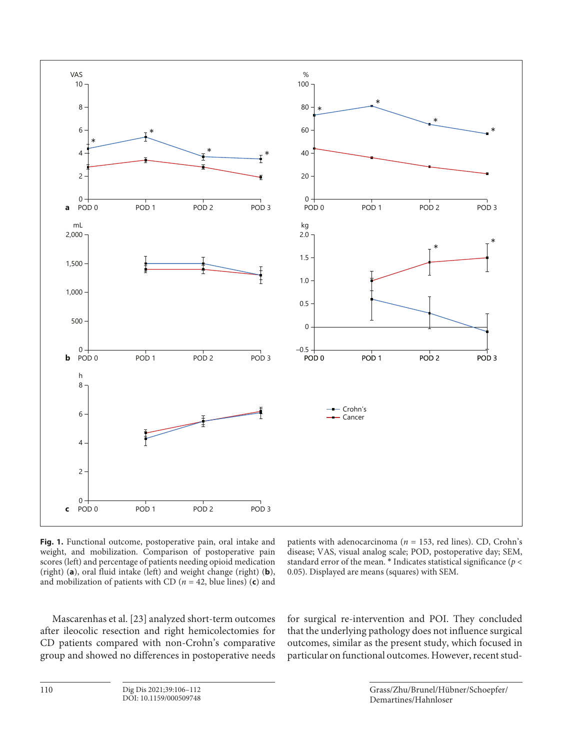

**Fig. 1.** Functional outcome, postoperative pain, oral intake and weight, and mobilization. Comparison of postoperative pain scores (left) and percentage of patients needing opioid medication (right) (**a**), oral fluid intake (left) and weight change (right) (**b**), and mobilization of patients with CD ( $n = 42$ , blue lines) (**c**) and

patients with adenocarcinoma (*n* = 153, red lines). CD, Crohn's disease; VAS, visual analog scale; POD, postoperative day; SEM, standard error of the mean. \* Indicates statistical significance (*p* < 0.05). Displayed are means (squares) with SEM.

Mascarenhas et al. [\[2](#page-6-1)[3\]](#page-6-2) analyzed short-term outcomes after ileocolic resection and right hemicolectomies for CD patients compared with non-Crohn's comparative group and showed no differences in postoperative needs for surgical re-intervention and POI. They concluded that the underlying pathology does not influence surgical outcomes, similar as the present study, which focused in particular on functional outcomes. However, recent stud-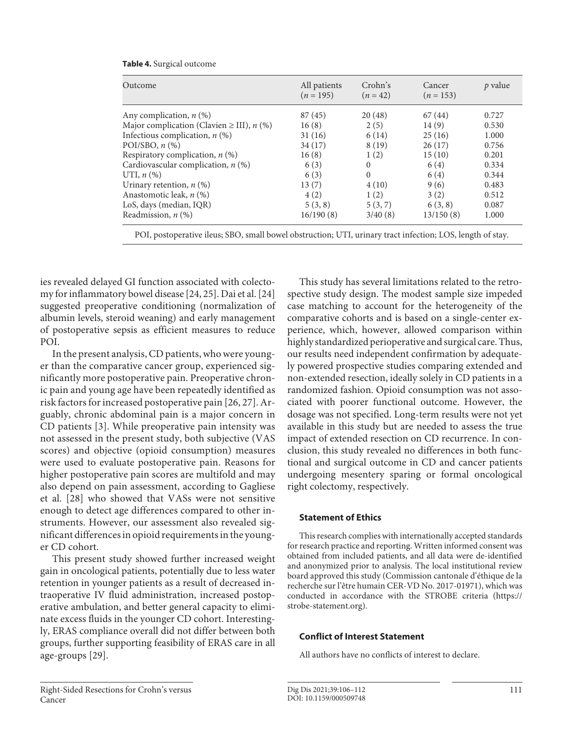| Table 4. Surgical outcome |  |  |
|---------------------------|--|--|
|---------------------------|--|--|

| Outcome                                               | All patients<br>$(n = 195)$ | Crohn's<br>$(n = 42)$ | Cancer<br>$(n = 153)$ | $p$ value |
|-------------------------------------------------------|-----------------------------|-----------------------|-----------------------|-----------|
| Any complication, $n$ (%)                             | 87 (45)                     | 20(48)                | 67 (44)               | 0.727     |
| Major complication (Clavien $\geq$ III), <i>n</i> (%) | 16(8)                       | 2(5)                  | 14(9)                 | 0.530     |
| Infectious complication, $n$ (%)                      | 31(16)                      | 6(14)                 | 25(16)                | 1.000     |
| POI/SBO, $n$ $(\%)$                                   | 34(17)                      | 8(19)                 | 26(17)                | 0.756     |
| Respiratory complication, $n$ (%)                     | 16(8)                       | 1(2)                  | 15(10)                | 0.201     |
| Cardiovascular complication, $n$ (%)                  | 6(3)                        | $\left($              | 6(4)                  | 0.334     |
| UTI, $n$ $(\%)$                                       | 6(3)                        | $\Omega$              | 6(4)                  | 0.344     |
| Urinary retention, $n$ (%)                            | 13(7)                       | 4(10)                 | 9(6)                  | 0.483     |
| Anastomotic leak, n (%)                               | 4(2)                        | 1(2)                  | 3(2)                  | 0.512     |
| LoS, days (median, IQR)                               | 5(3, 8)                     | 5(3, 7)               | 6(3, 8)               | 0.087     |
| Readmission, $n$ (%)                                  | 16/190(8)                   | 3/40(8)               | 13/150(8)             | 1.000     |

POI, postoperative ileus; SBO, small bowel obstruction; UTI, urinary tract infection; LOS, length of stay.

ies revealed delayed GI function associated with colectomy for inflammatory bowel disease [\[2](#page-6-1)[4,](#page-6-3) [2](#page-6-1)[5\]](#page-6-4). Dai et al. [[2](#page-6-1)[4](#page-6-3)] suggested preoperative conditioning (normalization of albumin levels, steroid weaning) and early management of postoperative sepsis as efficient measures to reduce POI.

In the present analysis, CD patients, who were younger than the comparative cancer group, experienced significantly more postoperative pain. Preoperative chronic pain and young age have been repeatedly identified as risk factors for increased postoperative pain [\[2](#page-6-1)[6](#page-6-5), [2](#page-6-1)[7](#page-6-6)]. Arguably, chronic abdominal pain is a major concern in CD patients [[3](#page-6-2)]. While preoperative pain intensity was not assessed in the present study, both subjective (VAS scores) and objective (opioid consumption) measures were used to evaluate postoperative pain. Reasons for higher postoperative pain scores are multifold and may also depend on pain assessment, according to Gagliese et al. [[2](#page-6-1)[8\]](#page-6-8) who showed that VASs were not sensitive enough to detect age differences compared to other instruments. However, our assessment also revealed significant differences in opioid requirements in the younger CD cohort.

This present study showed further increased weight gain in oncological patients, potentially due to less water retention in younger patients as a result of decreased intraoperative IV fluid administration, increased postoperative ambulation, and better general capacity to eliminate excess fluids in the younger CD cohort. Interestingly, ERAS compliance overall did not differ between both groups, further supporting feasibility of ERAS care in all age-groups [[2](#page-6-1)[9](#page-6-7)].

This study has several limitations related to the retrospective study design. The modest sample size impeded case matching to account for the heterogeneity of the comparative cohorts and is based on a single-center experience, which, however, allowed comparison within highly standardized perioperative and surgical care. Thus, our results need independent confirmation by adequately powered prospective studies comparing extended and non-extended resection, ideally solely in CD patients in a randomized fashion. Opioid consumption was not associated with poorer functional outcome. However, the dosage was not specified. Long-term results were not yet available in this study but are needed to assess the true impact of extended resection on CD recurrence. In conclusion, this study revealed no differences in both functional and surgical outcome in CD and cancer patients undergoing mesentery sparing or formal oncological right colectomy, respectively.

# **Statement of Ethics**

This research complies with internationally accepted standards for research practice and reporting. Written informed consent was obtained from included patients, and all data were de-identified and anonymized prior to analysis. The local institutional review board approved this study (Commission cantonale d'éthique de la recherche sur l'être humain CER-VD No. 2017-01971), which was conducted in accordance with the STROBE criteria (https:// strobe-statement.org).

# **Conflict of Interest Statement**

All authors have no conflicts of interest to declare.